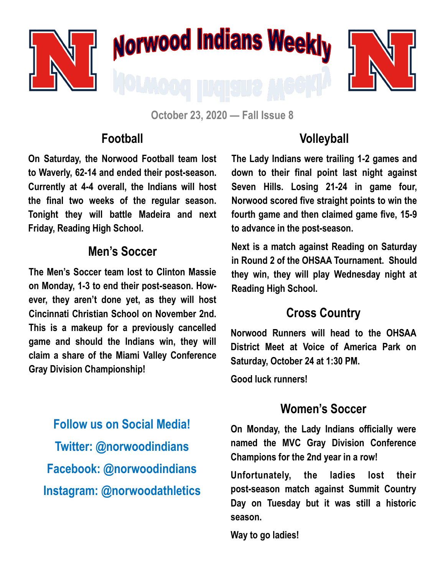

**October 23, 2020 — Fall Issue 8**

#### **Football**

**On Saturday, the Norwood Football team lost to Waverly, 62-14 and ended their post-season. Currently at 4-4 overall, the Indians will host the final two weeks of the regular season. Tonight they will battle Madeira and next Friday, Reading High School.** 

#### **Men's Soccer**

**The Men's Soccer team lost to Clinton Massie on Monday, 1-3 to end their post-season. However, they aren't done yet, as they will host Cincinnati Christian School on November 2nd. This is a makeup for a previously cancelled game and should the Indians win, they will claim a share of the Miami Valley Conference Gray Division Championship!**

**Follow us on Social Media! Twitter: @norwoodindians Facebook: @norwoodindians Instagram: @norwoodathletics**

## **Volleyball**

**The Lady Indians were trailing 1-2 games and down to their final point last night against Seven Hills. Losing 21-24 in game four, Norwood scored five straight points to win the fourth game and then claimed game five, 15-9 to advance in the post-season.**

**Next is a match against Reading on Saturday in Round 2 of the OHSAA Tournament. Should they win, they will play Wednesday night at Reading High School.** 

## **Cross Country**

**Norwood Runners will head to the OHSAA District Meet at Voice of America Park on Saturday, October 24 at 1:30 PM.** 

**Good luck runners!**

### **Women's Soccer**

**On Monday, the Lady Indians officially were named the MVC Gray Division Conference Champions for the 2nd year in a row!**

**Unfortunately, the ladies lost their post-season match against Summit Country Day on Tuesday but it was still a historic season.**

**Way to go ladies!**